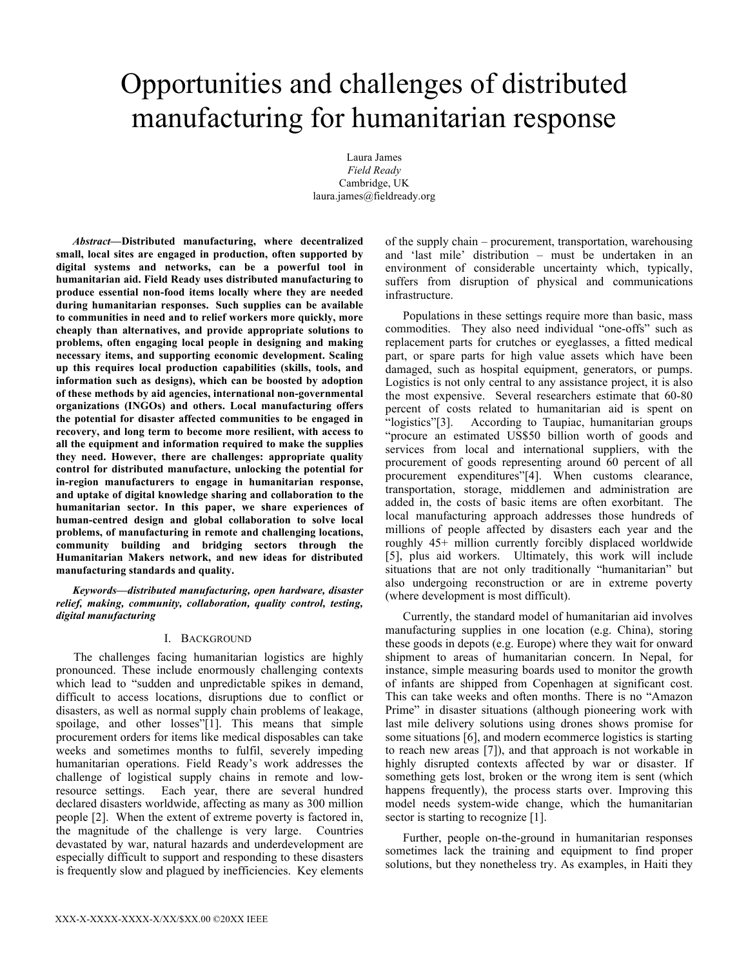# Opportunities and challenges of distributed manufacturing for humanitarian response

Laura James *Field Ready* Cambridge, UK laura.james@fieldready.org

*Abstract***—Distributed manufacturing, where decentralized small, local sites are engaged in production, often supported by digital systems and networks, can be a powerful tool in humanitarian aid. Field Ready uses distributed manufacturing to produce essential non-food items locally where they are needed during humanitarian responses. Such supplies can be available to communities in need and to relief workers more quickly, more cheaply than alternatives, and provide appropriate solutions to problems, often engaging local people in designing and making necessary items, and supporting economic development. Scaling up this requires local production capabilities (skills, tools, and information such as designs), which can be boosted by adoption of these methods by aid agencies, international non-governmental organizations (INGOs) and others. Local manufacturing offers the potential for disaster affected communities to be engaged in recovery, and long term to become more resilient, with access to all the equipment and information required to make the supplies they need. However, there are challenges: appropriate quality control for distributed manufacture, unlocking the potential for in-region manufacturers to engage in humanitarian response, and uptake of digital knowledge sharing and collaboration to the humanitarian sector. In this paper, we share experiences of human-centred design and global collaboration to solve local problems, of manufacturing in remote and challenging locations, community building and bridging sectors through the Humanitarian Makers network, and new ideas for distributed manufacturing standards and quality.** 

*Keywords—distributed manufacturing, open hardware, disaster relief, making, community, collaboration, quality control, testing, digital manufacturing*

# I. BACKGROUND

The challenges facing humanitarian logistics are highly pronounced. These include enormously challenging contexts which lead to "sudden and unpredictable spikes in demand, difficult to access locations, disruptions due to conflict or disasters, as well as normal supply chain problems of leakage, spoilage, and other losses"[1]. This means that simple procurement orders for items like medical disposables can take weeks and sometimes months to fulfil, severely impeding humanitarian operations. Field Ready's work addresses the challenge of logistical supply chains in remote and lowresource settings. Each year, there are several hundred declared disasters worldwide, affecting as many as 300 million people [2]. When the extent of extreme poverty is factored in, the magnitude of the challenge is very large. Countries devastated by war, natural hazards and underdevelopment are especially difficult to support and responding to these disasters is frequently slow and plagued by inefficiencies. Key elements

of the supply chain – procurement, transportation, warehousing and 'last mile' distribution – must be undertaken in an environment of considerable uncertainty which, typically, suffers from disruption of physical and communications infrastructure.

Populations in these settings require more than basic, mass commodities. They also need individual "one-offs" such as replacement parts for crutches or eyeglasses, a fitted medical part, or spare parts for high value assets which have been damaged, such as hospital equipment, generators, or pumps. Logistics is not only central to any assistance project, it is also the most expensive. Several researchers estimate that 60-80 percent of costs related to humanitarian aid is spent on "logistics"[3]. According to Taupiac, humanitarian groups "procure an estimated US\$50 billion worth of goods and services from local and international suppliers, with the procurement of goods representing around 60 percent of all procurement expenditures"[4]. When customs clearance, transportation, storage, middlemen and administration are added in, the costs of basic items are often exorbitant. The local manufacturing approach addresses those hundreds of millions of people affected by disasters each year and the roughly 45+ million currently forcibly displaced worldwide [5], plus aid workers. Ultimately, this work will include situations that are not only traditionally "humanitarian" but also undergoing reconstruction or are in extreme poverty (where development is most difficult).

Currently, the standard model of humanitarian aid involves manufacturing supplies in one location (e.g. China), storing these goods in depots (e.g. Europe) where they wait for onward shipment to areas of humanitarian concern. In Nepal, for instance, simple measuring boards used to monitor the growth of infants are shipped from Copenhagen at significant cost. This can take weeks and often months. There is no "Amazon Prime" in disaster situations (although pioneering work with last mile delivery solutions using drones shows promise for some situations [6], and modern ecommerce logistics is starting to reach new areas [7]), and that approach is not workable in highly disrupted contexts affected by war or disaster. If something gets lost, broken or the wrong item is sent (which happens frequently), the process starts over. Improving this model needs system-wide change, which the humanitarian sector is starting to recognize [1].

Further, people on-the-ground in humanitarian responses sometimes lack the training and equipment to find proper solutions, but they nonetheless try. As examples, in Haiti they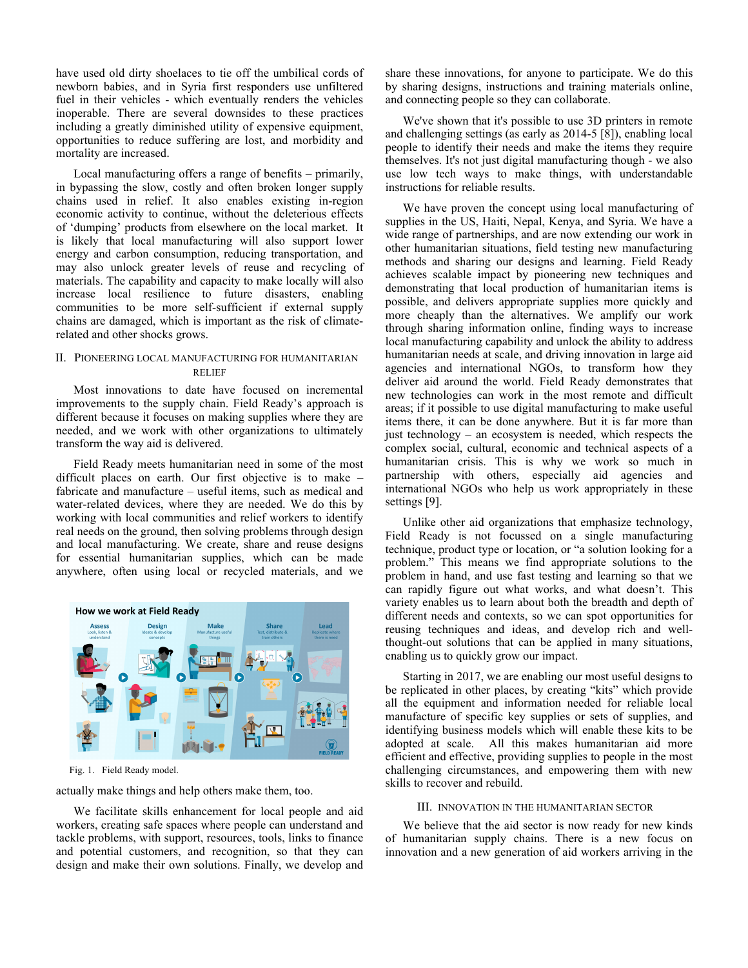have used old dirty shoelaces to tie off the umbilical cords of newborn babies, and in Syria first responders use unfiltered fuel in their vehicles - which eventually renders the vehicles inoperable. There are several downsides to these practices including a greatly diminished utility of expensive equipment, opportunities to reduce suffering are lost, and morbidity and mortality are increased.

Local manufacturing offers a range of benefits – primarily, in bypassing the slow, costly and often broken longer supply chains used in relief. It also enables existing in-region economic activity to continue, without the deleterious effects of 'dumping' products from elsewhere on the local market. It is likely that local manufacturing will also support lower energy and carbon consumption, reducing transportation, and may also unlock greater levels of reuse and recycling of materials. The capability and capacity to make locally will also increase local resilience to future disasters, enabling communities to be more self-sufficient if external supply chains are damaged, which is important as the risk of climaterelated and other shocks grows.

## II. PIONEERING LOCAL MANUFACTURING FOR HUMANITARIAN RELIEF

Most innovations to date have focused on incremental improvements to the supply chain. Field Ready's approach is different because it focuses on making supplies where they are needed, and we work with other organizations to ultimately transform the way aid is delivered.

Field Ready meets humanitarian need in some of the most difficult places on earth. Our first objective is to make – fabricate and manufacture – useful items, such as medical and water-related devices, where they are needed. We do this by working with local communities and relief workers to identify real needs on the ground, then solving problems through design and local manufacturing. We create, share and reuse designs for essential humanitarian supplies, which can be made anywhere, often using local or recycled materials, and we



Fig. 1. Field Ready model.

actually make things and help others make them, too.

We facilitate skills enhancement for local people and aid workers, creating safe spaces where people can understand and tackle problems, with support, resources, tools, links to finance and potential customers, and recognition, so that they can design and make their own solutions. Finally, we develop and

share these innovations, for anyone to participate. We do this by sharing designs, instructions and training materials online, and connecting people so they can collaborate.

We've shown that it's possible to use 3D printers in remote and challenging settings (as early as 2014-5 [8]), enabling local people to identify their needs and make the items they require themselves. It's not just digital manufacturing though - we also use low tech ways to make things, with understandable instructions for reliable results.

We have proven the concept using local manufacturing of supplies in the US, Haiti, Nepal, Kenya, and Syria. We have a wide range of partnerships, and are now extending our work in other humanitarian situations, field testing new manufacturing methods and sharing our designs and learning. Field Ready achieves scalable impact by pioneering new techniques and demonstrating that local production of humanitarian items is possible, and delivers appropriate supplies more quickly and more cheaply than the alternatives. We amplify our work through sharing information online, finding ways to increase local manufacturing capability and unlock the ability to address humanitarian needs at scale, and driving innovation in large aid agencies and international NGOs, to transform how they deliver aid around the world. Field Ready demonstrates that new technologies can work in the most remote and difficult areas; if it possible to use digital manufacturing to make useful items there, it can be done anywhere. But it is far more than just technology – an ecosystem is needed, which respects the complex social, cultural, economic and technical aspects of a humanitarian crisis. This is why we work so much in partnership with others, especially aid agencies and international NGOs who help us work appropriately in these settings [9].

Unlike other aid organizations that emphasize technology, Field Ready is not focussed on a single manufacturing technique, product type or location, or "a solution looking for a problem." This means we find appropriate solutions to the problem in hand, and use fast testing and learning so that we can rapidly figure out what works, and what doesn't. This variety enables us to learn about both the breadth and depth of different needs and contexts, so we can spot opportunities for reusing techniques and ideas, and develop rich and wellthought-out solutions that can be applied in many situations, enabling us to quickly grow our impact.

Starting in 2017, we are enabling our most useful designs to be replicated in other places, by creating "kits" which provide all the equipment and information needed for reliable local manufacture of specific key supplies or sets of supplies, and identifying business models which will enable these kits to be adopted at scale. All this makes humanitarian aid more efficient and effective, providing supplies to people in the most challenging circumstances, and empowering them with new skills to recover and rebuild.

#### III. INNOVATION IN THE HUMANITARIAN SECTOR

We believe that the aid sector is now ready for new kinds of humanitarian supply chains. There is a new focus on innovation and a new generation of aid workers arriving in the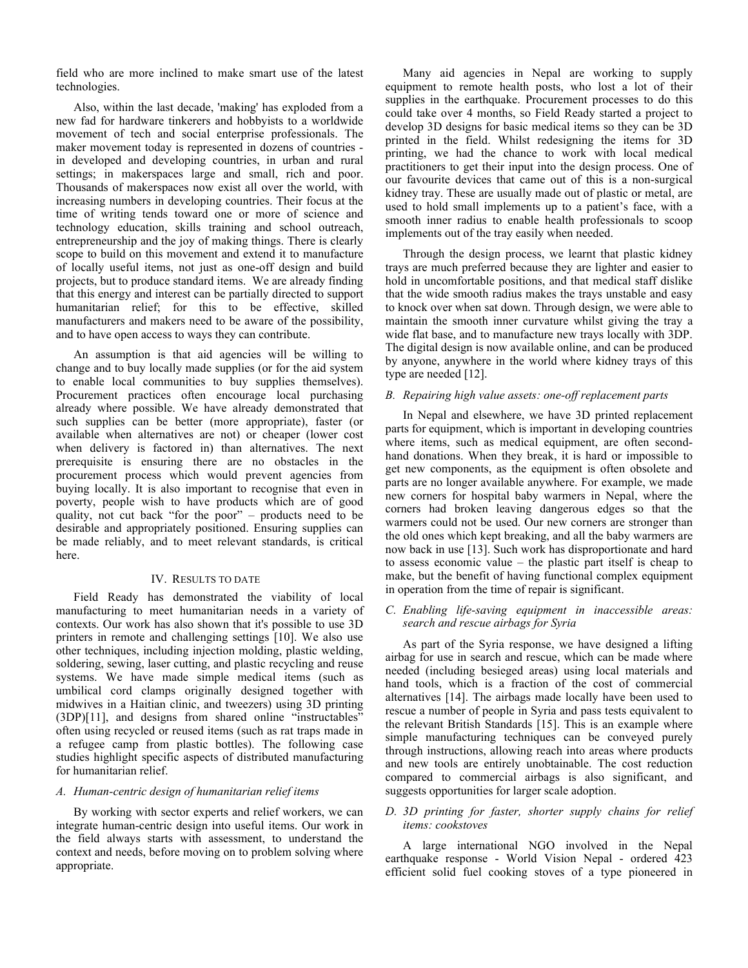field who are more inclined to make smart use of the latest technologies.

Also, within the last decade, 'making' has exploded from a new fad for hardware tinkerers and hobbyists to a worldwide movement of tech and social enterprise professionals. The maker movement today is represented in dozens of countries in developed and developing countries, in urban and rural settings; in makerspaces large and small, rich and poor. Thousands of makerspaces now exist all over the world, with increasing numbers in developing countries. Their focus at the time of writing tends toward one or more of science and technology education, skills training and school outreach, entrepreneurship and the joy of making things. There is clearly scope to build on this movement and extend it to manufacture of locally useful items, not just as one-off design and build projects, but to produce standard items. We are already finding that this energy and interest can be partially directed to support humanitarian relief; for this to be effective, skilled manufacturers and makers need to be aware of the possibility, and to have open access to ways they can contribute.

An assumption is that aid agencies will be willing to change and to buy locally made supplies (or for the aid system to enable local communities to buy supplies themselves). Procurement practices often encourage local purchasing already where possible. We have already demonstrated that such supplies can be better (more appropriate), faster (or available when alternatives are not) or cheaper (lower cost when delivery is factored in) than alternatives. The next prerequisite is ensuring there are no obstacles in the procurement process which would prevent agencies from buying locally. It is also important to recognise that even in poverty, people wish to have products which are of good quality, not cut back "for the poor" – products need to be desirable and appropriately positioned. Ensuring supplies can be made reliably, and to meet relevant standards, is critical here.

## IV. RESULTS TO DATE

Field Ready has demonstrated the viability of local manufacturing to meet humanitarian needs in a variety of contexts. Our work has also shown that it's possible to use 3D printers in remote and challenging settings [10]. We also use other techniques, including injection molding, plastic welding, soldering, sewing, laser cutting, and plastic recycling and reuse systems. We have made simple medical items (such as umbilical cord clamps originally designed together with midwives in a Haitian clinic, and tweezers) using 3D printing (3DP)[11], and designs from shared online "instructables" often using recycled or reused items (such as rat traps made in a refugee camp from plastic bottles). The following case studies highlight specific aspects of distributed manufacturing for humanitarian relief.

## *A. Human-centric design of humanitarian relief items*

By working with sector experts and relief workers, we can integrate human-centric design into useful items. Our work in the field always starts with assessment, to understand the context and needs, before moving on to problem solving where appropriate.

Many aid agencies in Nepal are working to supply equipment to remote health posts, who lost a lot of their supplies in the earthquake. Procurement processes to do this could take over 4 months, so Field Ready started a project to develop 3D designs for basic medical items so they can be 3D printed in the field. Whilst redesigning the items for 3D printing, we had the chance to work with local medical practitioners to get their input into the design process. One of our favourite devices that came out of this is a non-surgical kidney tray. These are usually made out of plastic or metal, are used to hold small implements up to a patient's face, with a smooth inner radius to enable health professionals to scoop implements out of the tray easily when needed.

Through the design process, we learnt that plastic kidney trays are much preferred because they are lighter and easier to hold in uncomfortable positions, and that medical staff dislike that the wide smooth radius makes the trays unstable and easy to knock over when sat down. Through design, we were able to maintain the smooth inner curvature whilst giving the tray a wide flat base, and to manufacture new trays locally with 3DP. The digital design is now available online, and can be produced by anyone, anywhere in the world where kidney trays of this type are needed [12].

## *B. Repairing high value assets: one-off replacement parts*

In Nepal and elsewhere, we have 3D printed replacement parts for equipment, which is important in developing countries where items, such as medical equipment, are often secondhand donations. When they break, it is hard or impossible to get new components, as the equipment is often obsolete and parts are no longer available anywhere. For example, we made new corners for hospital baby warmers in Nepal, where the corners had broken leaving dangerous edges so that the warmers could not be used. Our new corners are stronger than the old ones which kept breaking, and all the baby warmers are now back in use [13]. Such work has disproportionate and hard to assess economic value – the plastic part itself is cheap to make, but the benefit of having functional complex equipment in operation from the time of repair is significant.

# *C. Enabling life-saving equipment in inaccessible areas: search and rescue airbags for Syria*

As part of the Syria response, we have designed a lifting airbag for use in search and rescue, which can be made where needed (including besieged areas) using local materials and hand tools, which is a fraction of the cost of commercial alternatives [14]. The airbags made locally have been used to rescue a number of people in Syria and pass tests equivalent to the relevant British Standards [15]. This is an example where simple manufacturing techniques can be conveyed purely through instructions, allowing reach into areas where products and new tools are entirely unobtainable. The cost reduction compared to commercial airbags is also significant, and suggests opportunities for larger scale adoption.

# *D. 3D printing for faster, shorter supply chains for relief items: cookstoves*

A large international NGO involved in the Nepal earthquake response - World Vision Nepal - ordered 423 efficient solid fuel cooking stoves of a type pioneered in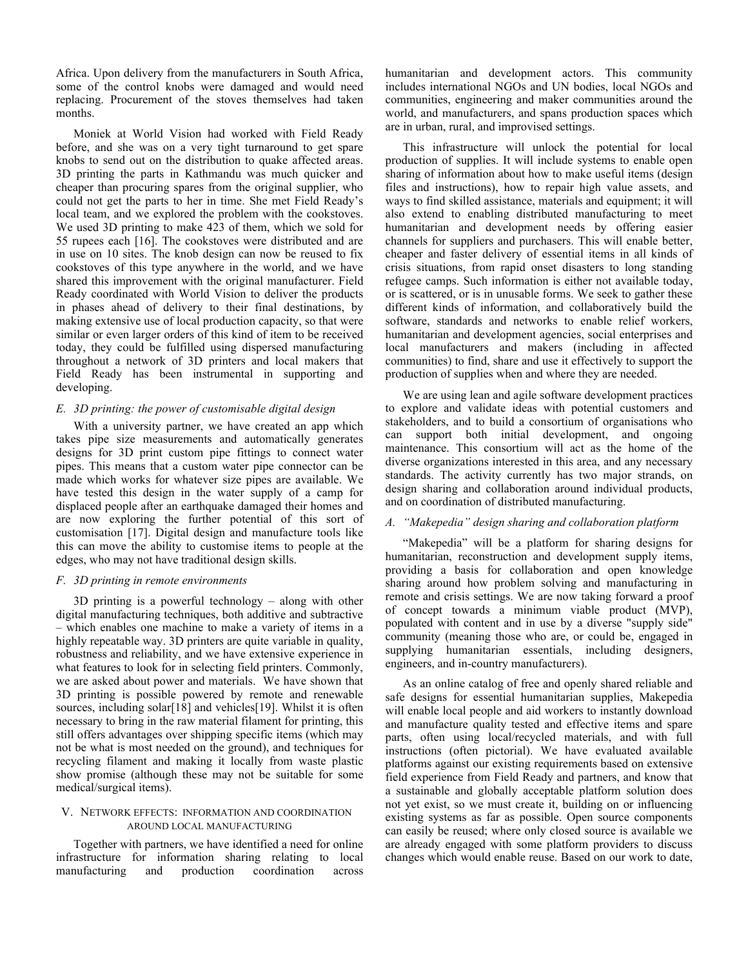Africa. Upon delivery from the manufacturers in South Africa, some of the control knobs were damaged and would need replacing. Procurement of the stoves themselves had taken months.

Moniek at World Vision had worked with Field Ready before, and she was on a very tight turnaround to get spare knobs to send out on the distribution to quake affected areas. 3D printing the parts in Kathmandu was much quicker and cheaper than procuring spares from the original supplier, who could not get the parts to her in time. She met Field Ready's local team, and we explored the problem with the cookstoves. We used 3D printing to make 423 of them, which we sold for 55 rupees each [16]. The cookstoves were distributed and are in use on 10 sites. The knob design can now be reused to fix cookstoves of this type anywhere in the world, and we have shared this improvement with the original manufacturer. Field Ready coordinated with World Vision to deliver the products in phases ahead of delivery to their final destinations, by making extensive use of local production capacity, so that were similar or even larger orders of this kind of item to be received today, they could be fulfilled using dispersed manufacturing throughout a network of 3D printers and local makers that Field Ready has been instrumental in supporting and developing.

## *E. 3D printing: the power of customisable digital design*

With a university partner, we have created an app which takes pipe size measurements and automatically generates designs for 3D print custom pipe fittings to connect water pipes. This means that a custom water pipe connector can be made which works for whatever size pipes are available. We have tested this design in the water supply of a camp for displaced people after an earthquake damaged their homes and are now exploring the further potential of this sort of customisation [17]. Digital design and manufacture tools like this can move the ability to customise items to people at the edges, who may not have traditional design skills.

## *F. 3D printing in remote environments*

3D printing is a powerful technology – along with other digital manufacturing techniques, both additive and subtractive – which enables one machine to make a variety of items in a highly repeatable way. 3D printers are quite variable in quality, robustness and reliability, and we have extensive experience in what features to look for in selecting field printers. Commonly, we are asked about power and materials. We have shown that 3D printing is possible powered by remote and renewable sources, including solar[18] and vehicles[19]. Whilst it is often necessary to bring in the raw material filament for printing, this still offers advantages over shipping specific items (which may not be what is most needed on the ground), and techniques for recycling filament and making it locally from waste plastic show promise (although these may not be suitable for some medical/surgical items).

## V. NETWORK EFFECTS: INFORMATION AND COORDINATION AROUND LOCAL MANUFACTURING

Together with partners, we have identified a need for online infrastructure for information sharing relating to local manufacturing and production coordination across humanitarian and development actors. This community includes international NGOs and UN bodies, local NGOs and communities, engineering and maker communities around the world, and manufacturers, and spans production spaces which are in urban, rural, and improvised settings.

This infrastructure will unlock the potential for local production of supplies. It will include systems to enable open sharing of information about how to make useful items (design files and instructions), how to repair high value assets, and ways to find skilled assistance, materials and equipment; it will also extend to enabling distributed manufacturing to meet humanitarian and development needs by offering easier channels for suppliers and purchasers. This will enable better, cheaper and faster delivery of essential items in all kinds of crisis situations, from rapid onset disasters to long standing refugee camps. Such information is either not available today, or is scattered, or is in unusable forms. We seek to gather these different kinds of information, and collaboratively build the software, standards and networks to enable relief workers, humanitarian and development agencies, social enterprises and local manufacturers and makers (including in affected communities) to find, share and use it effectively to support the production of supplies when and where they are needed.

We are using lean and agile software development practices to explore and validate ideas with potential customers and stakeholders, and to build a consortium of organisations who can support both initial development, and ongoing maintenance. This consortium will act as the home of the diverse organizations interested in this area, and any necessary standards. The activity currently has two major strands, on design sharing and collaboration around individual products, and on coordination of distributed manufacturing.

## *A. "Makepedia" design sharing and collaboration platform*

"Makepedia" will be a platform for sharing designs for humanitarian, reconstruction and development supply items, providing a basis for collaboration and open knowledge sharing around how problem solving and manufacturing in remote and crisis settings. We are now taking forward a proof of concept towards a minimum viable product (MVP), populated with content and in use by a diverse "supply side" community (meaning those who are, or could be, engaged in supplying humanitarian essentials, including designers, engineers, and in-country manufacturers).

As an online catalog of free and openly shared reliable and safe designs for essential humanitarian supplies, Makepedia will enable local people and aid workers to instantly download and manufacture quality tested and effective items and spare parts, often using local/recycled materials, and with full instructions (often pictorial). We have evaluated available platforms against our existing requirements based on extensive field experience from Field Ready and partners, and know that a sustainable and globally acceptable platform solution does not yet exist, so we must create it, building on or influencing existing systems as far as possible. Open source components can easily be reused; where only closed source is available we are already engaged with some platform providers to discuss changes which would enable reuse. Based on our work to date,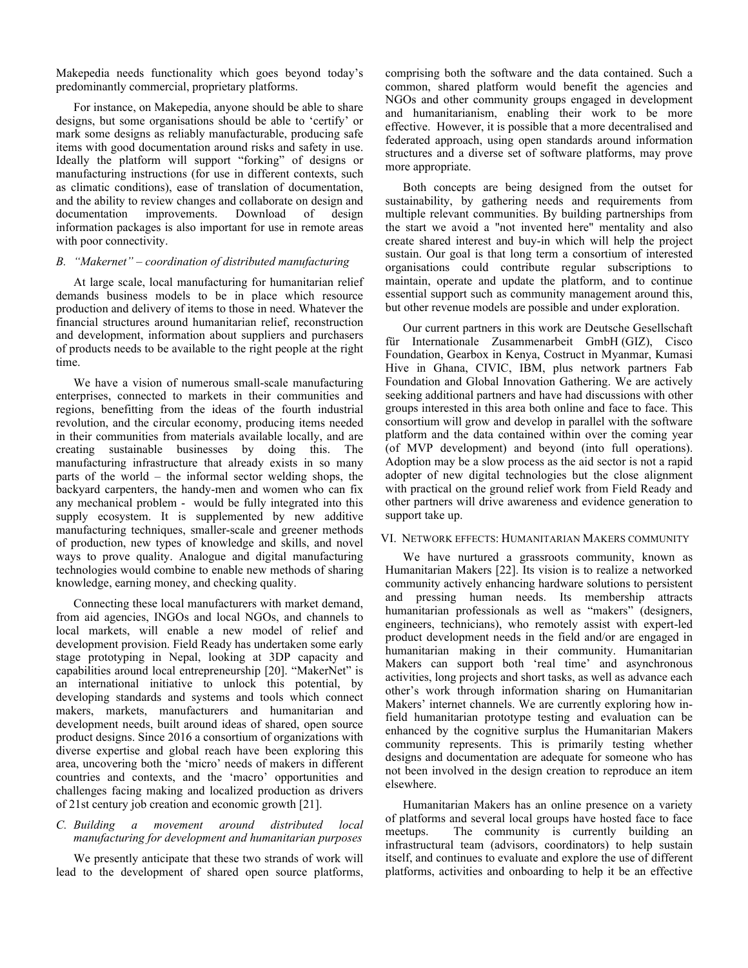Makepedia needs functionality which goes beyond today's predominantly commercial, proprietary platforms.

For instance, on Makepedia, anyone should be able to share designs, but some organisations should be able to 'certify' or mark some designs as reliably manufacturable, producing safe items with good documentation around risks and safety in use. Ideally the platform will support "forking" of designs or manufacturing instructions (for use in different contexts, such as climatic conditions), ease of translation of documentation, and the ability to review changes and collaborate on design and documentation improvements. Download of design information packages is also important for use in remote areas with poor connectivity.

# *B. "Makernet" – coordination of distributed manufacturing*

At large scale, local manufacturing for humanitarian relief demands business models to be in place which resource production and delivery of items to those in need. Whatever the financial structures around humanitarian relief, reconstruction and development, information about suppliers and purchasers of products needs to be available to the right people at the right time.

We have a vision of numerous small-scale manufacturing enterprises, connected to markets in their communities and regions, benefitting from the ideas of the fourth industrial revolution, and the circular economy, producing items needed in their communities from materials available locally, and are creating sustainable businesses by doing this. The manufacturing infrastructure that already exists in so many parts of the world – the informal sector welding shops, the backyard carpenters, the handy-men and women who can fix any mechanical problem - would be fully integrated into this supply ecosystem. It is supplemented by new additive manufacturing techniques, smaller-scale and greener methods of production, new types of knowledge and skills, and novel ways to prove quality. Analogue and digital manufacturing technologies would combine to enable new methods of sharing knowledge, earning money, and checking quality.

Connecting these local manufacturers with market demand, from aid agencies, INGOs and local NGOs, and channels to local markets, will enable a new model of relief and development provision. Field Ready has undertaken some early stage prototyping in Nepal, looking at 3DP capacity and capabilities around local entrepreneurship [20]. "MakerNet" is an international initiative to unlock this potential, by developing standards and systems and tools which connect makers, markets, manufacturers and humanitarian and development needs, built around ideas of shared, open source product designs. Since 2016 a consortium of organizations with diverse expertise and global reach have been exploring this area, uncovering both the 'micro' needs of makers in different countries and contexts, and the 'macro' opportunities and challenges facing making and localized production as drivers of 21st century job creation and economic growth [21].

# *C. Building a movement around distributed local manufacturing for development and humanitarian purposes*

We presently anticipate that these two strands of work will lead to the development of shared open source platforms, comprising both the software and the data contained. Such a common, shared platform would benefit the agencies and NGOs and other community groups engaged in development and humanitarianism, enabling their work to be more effective. However, it is possible that a more decentralised and federated approach, using open standards around information structures and a diverse set of software platforms, may prove more appropriate.

Both concepts are being designed from the outset for sustainability, by gathering needs and requirements from multiple relevant communities. By building partnerships from the start we avoid a "not invented here" mentality and also create shared interest and buy-in which will help the project sustain. Our goal is that long term a consortium of interested organisations could contribute regular subscriptions to maintain, operate and update the platform, and to continue essential support such as community management around this, but other revenue models are possible and under exploration.

Our current partners in this work are Deutsche Gesellschaft für Internationale Zusammenarbeit GmbH (GIZ), Cisco Foundation, Gearbox in Kenya, Costruct in Myanmar, Kumasi Hive in Ghana, CIVIC, IBM, plus network partners Fab Foundation and Global Innovation Gathering. We are actively seeking additional partners and have had discussions with other groups interested in this area both online and face to face. This consortium will grow and develop in parallel with the software platform and the data contained within over the coming year (of MVP development) and beyond (into full operations). Adoption may be a slow process as the aid sector is not a rapid adopter of new digital technologies but the close alignment with practical on the ground relief work from Field Ready and other partners will drive awareness and evidence generation to support take up.

## VI. NETWORK EFFECTS: HUMANITARIAN MAKERS COMMUNITY

We have nurtured a grassroots community, known as Humanitarian Makers [22]. Its vision is to realize a networked community actively enhancing hardware solutions to persistent and pressing human needs. Its membership attracts humanitarian professionals as well as "makers" (designers, engineers, technicians), who remotely assist with expert-led product development needs in the field and/or are engaged in humanitarian making in their community. Humanitarian Makers can support both 'real time' and asynchronous activities, long projects and short tasks, as well as advance each other's work through information sharing on Humanitarian Makers' internet channels. We are currently exploring how infield humanitarian prototype testing and evaluation can be enhanced by the cognitive surplus the Humanitarian Makers community represents. This is primarily testing whether designs and documentation are adequate for someone who has not been involved in the design creation to reproduce an item elsewhere.

Humanitarian Makers has an online presence on a variety of platforms and several local groups have hosted face to face meetups. The community is currently building an infrastructural team (advisors, coordinators) to help sustain itself, and continues to evaluate and explore the use of different platforms, activities and onboarding to help it be an effective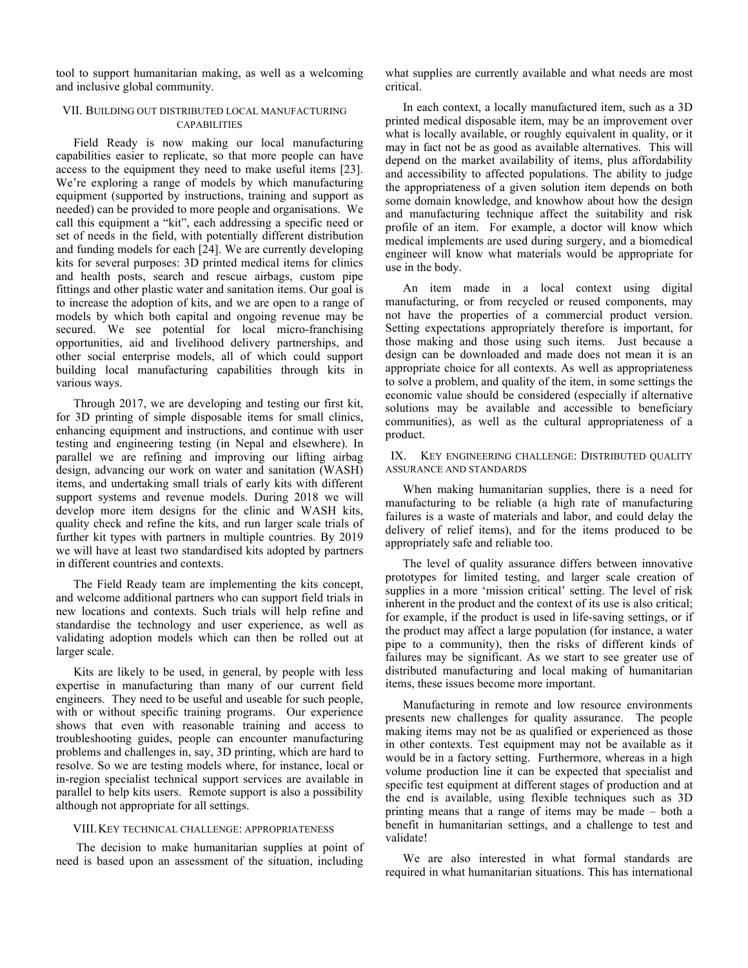tool to support humanitarian making, as well as a welcoming and inclusive global community.

# VII. BUILDING OUT DISTRIBUTED LOCAL MANUFACTURING **CAPABILITIES**

Field Ready is now making our local manufacturing capabilities easier to replicate, so that more people can have access to the equipment they need to make useful items [23]. We're exploring a range of models by which manufacturing equipment (supported by instructions, training and support as needed) can be provided to more people and organisations. We call this equipment a "kit", each addressing a specific need or set of needs in the field, with potentially different distribution and funding models for each [24]. We are currently developing kits for several purposes: 3D printed medical items for clinics and health posts, search and rescue airbags, custom pipe fittings and other plastic water and sanitation items. Our goal is to increase the adoption of kits, and we are open to a range of models by which both capital and ongoing revenue may be secured. We see potential for local micro-franchising opportunities, aid and livelihood delivery partnerships, and other social enterprise models, all of which could support building local manufacturing capabilities through kits in various ways.

Through 2017, we are developing and testing our first kit, for 3D printing of simple disposable items for small clinics, enhancing equipment and instructions, and continue with user testing and engineering testing (in Nepal and elsewhere). In parallel we are refining and improving our lifting airbag design, advancing our work on water and sanitation (WASH) items, and undertaking small trials of early kits with different support systems and revenue models. During 2018 we will develop more item designs for the clinic and WASH kits, quality check and refine the kits, and run larger scale trials of further kit types with partners in multiple countries. By 2019 we will have at least two standardised kits adopted by partners in different countries and contexts.

The Field Ready team are implementing the kits concept, and welcome additional partners who can support field trials in new locations and contexts. Such trials will help refine and standardise the technology and user experience, as well as validating adoption models which can then be rolled out at larger scale.

Kits are likely to be used, in general, by people with less expertise in manufacturing than many of our current field engineers. They need to be useful and useable for such people, with or without specific training programs. Our experience shows that even with reasonable training and access to troubleshooting guides, people can encounter manufacturing problems and challenges in, say, 3D printing, which are hard to resolve. So we are testing models where, for instance, local or in-region specialist technical support services are available in parallel to help kits users. Remote support is also a possibility although not appropriate for all settings.

#### VIII.KEY TECHNICAL CHALLENGE: APPROPRIATENESS

The decision to make humanitarian supplies at point of need is based upon an assessment of the situation, including

what supplies are currently available and what needs are most critical.

In each context, a locally manufactured item, such as a 3D printed medical disposable item, may be an improvement over what is locally available, or roughly equivalent in quality, or it may in fact not be as good as available alternatives. This will depend on the market availability of items, plus affordability and accessibility to affected populations. The ability to judge the appropriateness of a given solution item depends on both some domain knowledge, and knowhow about how the design and manufacturing technique affect the suitability and risk profile of an item. For example, a doctor will know which medical implements are used during surgery, and a biomedical engineer will know what materials would be appropriate for use in the body.

An item made in a local context using digital manufacturing, or from recycled or reused components, may not have the properties of a commercial product version. Setting expectations appropriately therefore is important, for those making and those using such items. Just because a design can be downloaded and made does not mean it is an appropriate choice for all contexts. As well as appropriateness to solve a problem, and quality of the item, in some settings the economic value should be considered (especially if alternative solutions may be available and accessible to beneficiary communities), as well as the cultural appropriateness of a product.

## IX. KEY ENGINEERING CHALLENGE: DISTRIBUTED QUALITY ASSURANCE AND STANDARDS

When making humanitarian supplies, there is a need for manufacturing to be reliable (a high rate of manufacturing failures is a waste of materials and labor, and could delay the delivery of relief items), and for the items produced to be appropriately safe and reliable too.

The level of quality assurance differs between innovative prototypes for limited testing, and larger scale creation of supplies in a more 'mission critical' setting. The level of risk inherent in the product and the context of its use is also critical; for example, if the product is used in life-saving settings, or if the product may affect a large population (for instance, a water pipe to a community), then the risks of different kinds of failures may be significant. As we start to see greater use of distributed manufacturing and local making of humanitarian items, these issues become more important.

Manufacturing in remote and low resource environments presents new challenges for quality assurance. The people making items may not be as qualified or experienced as those in other contexts. Test equipment may not be available as it would be in a factory setting. Furthermore, whereas in a high volume production line it can be expected that specialist and specific test equipment at different stages of production and at the end is available, using flexible techniques such as 3D printing means that a range of items may be made – both a benefit in humanitarian settings, and a challenge to test and validate!

We are also interested in what formal standards are required in what humanitarian situations. This has international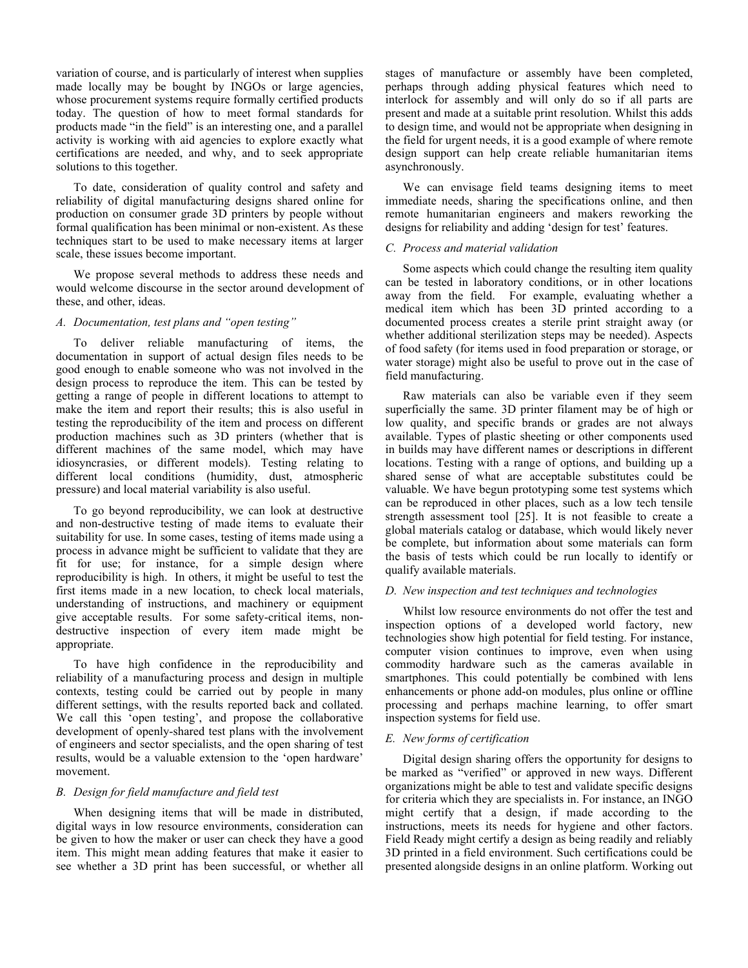variation of course, and is particularly of interest when supplies made locally may be bought by INGOs or large agencies, whose procurement systems require formally certified products today. The question of how to meet formal standards for products made "in the field" is an interesting one, and a parallel activity is working with aid agencies to explore exactly what certifications are needed, and why, and to seek appropriate solutions to this together.

To date, consideration of quality control and safety and reliability of digital manufacturing designs shared online for production on consumer grade 3D printers by people without formal qualification has been minimal or non-existent. As these techniques start to be used to make necessary items at larger scale, these issues become important.

We propose several methods to address these needs and would welcome discourse in the sector around development of these, and other, ideas.

# *A. Documentation, test plans and "open testing"*

To deliver reliable manufacturing of items, the documentation in support of actual design files needs to be good enough to enable someone who was not involved in the design process to reproduce the item. This can be tested by getting a range of people in different locations to attempt to make the item and report their results; this is also useful in testing the reproducibility of the item and process on different production machines such as 3D printers (whether that is different machines of the same model, which may have idiosyncrasies, or different models). Testing relating to different local conditions (humidity, dust, atmospheric pressure) and local material variability is also useful.

To go beyond reproducibility, we can look at destructive and non-destructive testing of made items to evaluate their suitability for use. In some cases, testing of items made using a process in advance might be sufficient to validate that they are fit for use; for instance, for a simple design where reproducibility is high. In others, it might be useful to test the first items made in a new location, to check local materials, understanding of instructions, and machinery or equipment give acceptable results. For some safety-critical items, nondestructive inspection of every item made might be appropriate.

To have high confidence in the reproducibility and reliability of a manufacturing process and design in multiple contexts, testing could be carried out by people in many different settings, with the results reported back and collated. We call this 'open testing', and propose the collaborative development of openly-shared test plans with the involvement of engineers and sector specialists, and the open sharing of test results, would be a valuable extension to the 'open hardware' movement.

## *B. Design for field manufacture and field test*

When designing items that will be made in distributed, digital ways in low resource environments, consideration can be given to how the maker or user can check they have a good item. This might mean adding features that make it easier to see whether a 3D print has been successful, or whether all

stages of manufacture or assembly have been completed, perhaps through adding physical features which need to interlock for assembly and will only do so if all parts are present and made at a suitable print resolution. Whilst this adds to design time, and would not be appropriate when designing in the field for urgent needs, it is a good example of where remote design support can help create reliable humanitarian items asynchronously.

We can envisage field teams designing items to meet immediate needs, sharing the specifications online, and then remote humanitarian engineers and makers reworking the designs for reliability and adding 'design for test' features.

## *C. Process and material validation*

Some aspects which could change the resulting item quality can be tested in laboratory conditions, or in other locations away from the field. For example, evaluating whether a medical item which has been 3D printed according to a documented process creates a sterile print straight away (or whether additional sterilization steps may be needed). Aspects of food safety (for items used in food preparation or storage, or water storage) might also be useful to prove out in the case of field manufacturing.

Raw materials can also be variable even if they seem superficially the same. 3D printer filament may be of high or low quality, and specific brands or grades are not always available. Types of plastic sheeting or other components used in builds may have different names or descriptions in different locations. Testing with a range of options, and building up a shared sense of what are acceptable substitutes could be valuable. We have begun prototyping some test systems which can be reproduced in other places, such as a low tech tensile strength assessment tool [25]. It is not feasible to create a global materials catalog or database, which would likely never be complete, but information about some materials can form the basis of tests which could be run locally to identify or qualify available materials.

## *D. New inspection and test techniques and technologies*

Whilst low resource environments do not offer the test and inspection options of a developed world factory, new technologies show high potential for field testing. For instance, computer vision continues to improve, even when using commodity hardware such as the cameras available in smartphones. This could potentially be combined with lens enhancements or phone add-on modules, plus online or offline processing and perhaps machine learning, to offer smart inspection systems for field use.

#### *E. New forms of certification*

Digital design sharing offers the opportunity for designs to be marked as "verified" or approved in new ways. Different organizations might be able to test and validate specific designs for criteria which they are specialists in. For instance, an INGO might certify that a design, if made according to the instructions, meets its needs for hygiene and other factors. Field Ready might certify a design as being readily and reliably 3D printed in a field environment. Such certifications could be presented alongside designs in an online platform. Working out